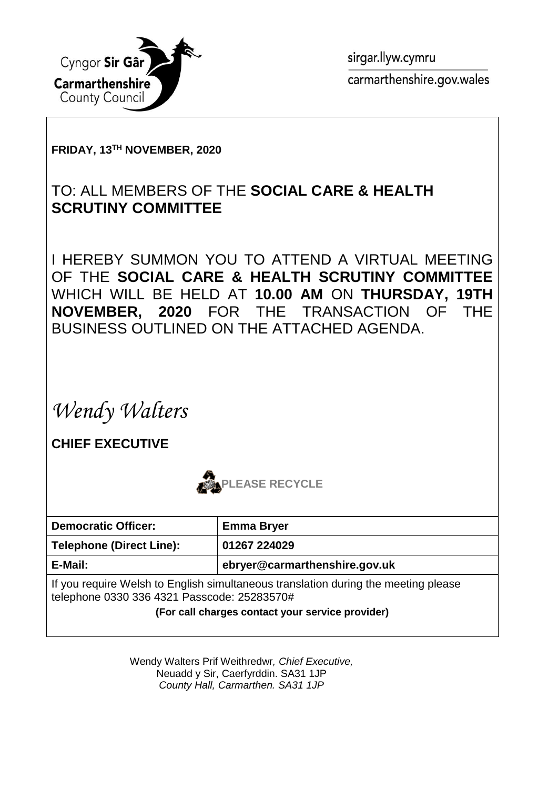

sirgar.llyw.cymru carmarthenshire.gov.wales

#### **FRIDAY, 13TH NOVEMBER, 2020**

### TO: ALL MEMBERS OF THE **SOCIAL CARE & HEALTH SCRUTINY COMMITTEE**

I HEREBY SUMMON YOU TO ATTEND A VIRTUAL MEETING OF THE **SOCIAL CARE & HEALTH SCRUTINY COMMITTEE** WHICH WILL BE HELD AT **10.00 AM** ON **THURSDAY, 19TH NOVEMBER, 2020** FOR THE TRANSACTION OF THE BUSINESS OUTLINED ON THE ATTACHED AGENDA.

*Wendy Walters*

**CHIEF EXECUTIVE**



| <b>Democratic Officer:</b>                                                                                                        | <b>Emma Bryer</b>             |
|-----------------------------------------------------------------------------------------------------------------------------------|-------------------------------|
| <b>Telephone (Direct Line):</b>                                                                                                   | 01267 224029                  |
| E-Mail:                                                                                                                           | ebryer@carmarthenshire.gov.uk |
| If you require Welsh to English simultaneous translation during the meeting please<br>telephone 0330 336 4321 Passcode: 25283570# |                               |

**(For call charges contact your service provider)**

Wendy Walters Prif Weithredwr*, Chief Executive,* Neuadd y Sir, Caerfyrddin. SA31 1JP *County Hall, Carmarthen. SA31 1JP*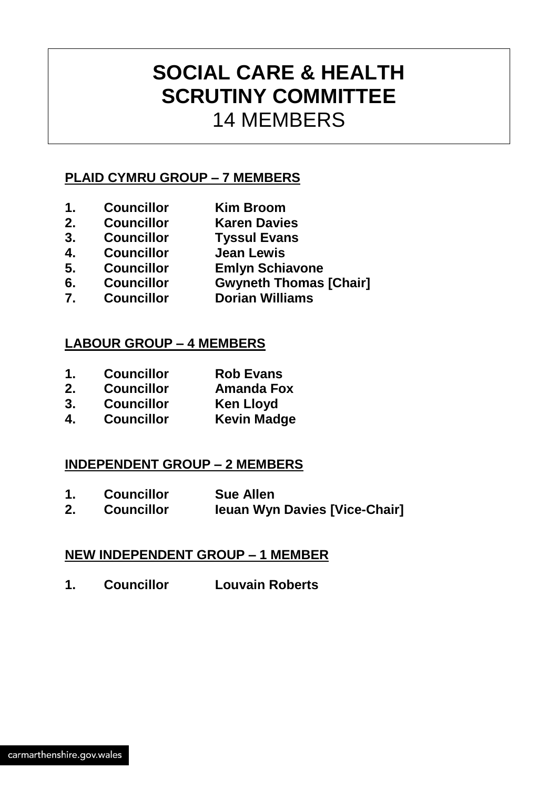## **SOCIAL CARE & HEALTH SCRUTINY COMMITTEE** 14 MEMBERS

#### **PLAID CYMRU GROUP – 7 MEMBERS**

- **1. Councillor Kim Broom**
- **2. Councillor Karen Davies**
- **3. Councillor Tyssul Evans**
- **4. Councillor Jean Lewis**
- **5. Councillor Emlyn Schiavone**
- **6. Councillor Gwyneth Thomas [Chair]**
- **7. Councillor Dorian Williams**

#### **LABOUR GROUP – 4 MEMBERS**

- **1. Councillor Rob Evans**
- **2. Councillor Amanda Fox**
- **3. Councillor Ken Lloyd**
- **4. Councillor Kevin Madge**

#### **INDEPENDENT GROUP – 2 MEMBERS**

- **1. Councillor Sue Allen**
- **2. Councillor Ieuan Wyn Davies [Vice-Chair]**

#### **NEW INDEPENDENT GROUP – 1 MEMBER**

**1. Councillor Louvain Roberts**